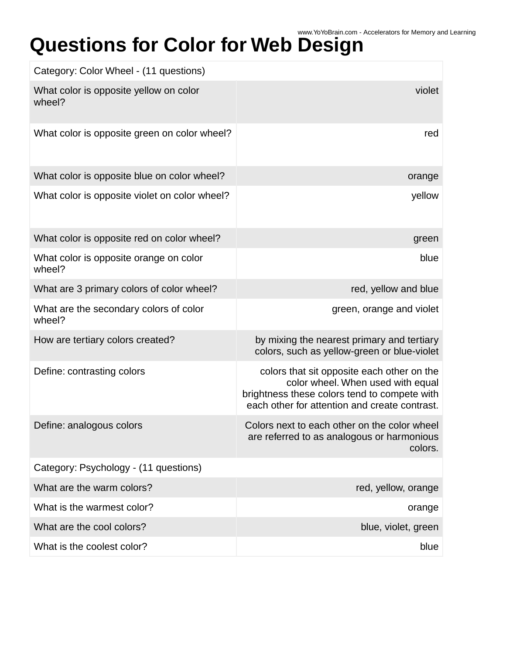## Questions for Color for Web Design Accelerators for Memory and Learning

| Category: Color Wheel - (11 questions)           |                                                                                                                                                                                  |
|--------------------------------------------------|----------------------------------------------------------------------------------------------------------------------------------------------------------------------------------|
| What color is opposite yellow on color<br>wheel? | violet                                                                                                                                                                           |
| What color is opposite green on color wheel?     | red                                                                                                                                                                              |
| What color is opposite blue on color wheel?      | orange                                                                                                                                                                           |
| What color is opposite violet on color wheel?    | yellow                                                                                                                                                                           |
| What color is opposite red on color wheel?       | green                                                                                                                                                                            |
| What color is opposite orange on color<br>wheel? | blue                                                                                                                                                                             |
| What are 3 primary colors of color wheel?        | red, yellow and blue                                                                                                                                                             |
| What are the secondary colors of color<br>wheel? | green, orange and violet                                                                                                                                                         |
| How are tertiary colors created?                 | by mixing the nearest primary and tertiary<br>colors, such as yellow-green or blue-violet                                                                                        |
| Define: contrasting colors                       | colors that sit opposite each other on the<br>color wheel. When used with equal<br>brightness these colors tend to compete with<br>each other for attention and create contrast. |
| Define: analogous colors                         | Colors next to each other on the color wheel<br>are referred to as analogous or harmonious<br>colors.                                                                            |
| Category: Psychology - (11 questions)            |                                                                                                                                                                                  |
| What are the warm colors?                        | red, yellow, orange                                                                                                                                                              |
| What is the warmest color?                       | orange                                                                                                                                                                           |
| What are the cool colors?                        | blue, violet, green                                                                                                                                                              |
| What is the coolest color?                       | blue                                                                                                                                                                             |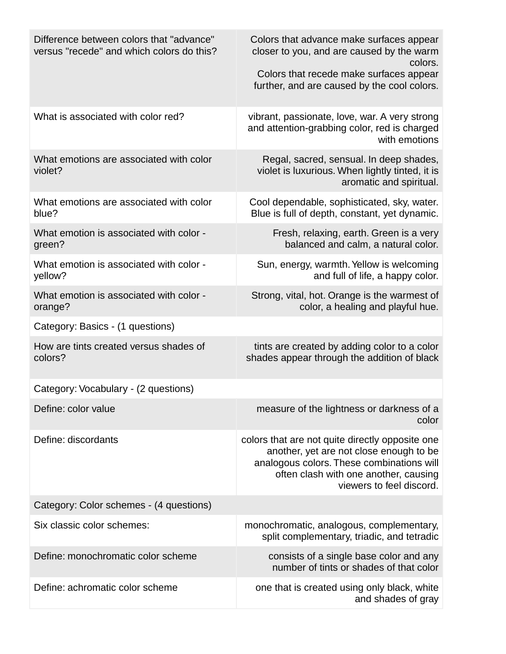| Difference between colors that "advance"<br>versus "recede" and which colors do this? | Colors that advance make surfaces appear<br>closer to you, and are caused by the warm<br>colors.<br>Colors that recede make surfaces appear<br>further, and are caused by the cool colors.                   |
|---------------------------------------------------------------------------------------|--------------------------------------------------------------------------------------------------------------------------------------------------------------------------------------------------------------|
| What is associated with color red?                                                    | vibrant, passionate, love, war. A very strong<br>and attention-grabbing color, red is charged<br>with emotions                                                                                               |
| What emotions are associated with color<br>violet?                                    | Regal, sacred, sensual. In deep shades,<br>violet is luxurious. When lightly tinted, it is<br>aromatic and spiritual.                                                                                        |
| What emotions are associated with color<br>blue?                                      | Cool dependable, sophisticated, sky, water.<br>Blue is full of depth, constant, yet dynamic.                                                                                                                 |
| What emotion is associated with color -<br>green?                                     | Fresh, relaxing, earth. Green is a very<br>balanced and calm, a natural color.                                                                                                                               |
| What emotion is associated with color -<br>yellow?                                    | Sun, energy, warmth. Yellow is welcoming<br>and full of life, a happy color.                                                                                                                                 |
| What emotion is associated with color -<br>orange?                                    | Strong, vital, hot. Orange is the warmest of<br>color, a healing and playful hue.                                                                                                                            |
| Category: Basics - (1 questions)                                                      |                                                                                                                                                                                                              |
| How are tints created versus shades of<br>colors?                                     | tints are created by adding color to a color<br>shades appear through the addition of black                                                                                                                  |
| Category: Vocabulary - (2 questions)                                                  |                                                                                                                                                                                                              |
| Define: color value                                                                   | measure of the lightness or darkness of a<br>color                                                                                                                                                           |
| Define: discordants                                                                   | colors that are not quite directly opposite one<br>another, yet are not close enough to be<br>analogous colors. These combinations will<br>often clash with one another, causing<br>viewers to feel discord. |
| Category: Color schemes - (4 questions)                                               |                                                                                                                                                                                                              |
| Six classic color schemes:                                                            | monochromatic, analogous, complementary,<br>split complementary, triadic, and tetradic                                                                                                                       |
| Define: monochromatic color scheme                                                    | consists of a single base color and any<br>number of tints or shades of that color                                                                                                                           |
| Define: achromatic color scheme                                                       | one that is created using only black, white<br>and shades of gray                                                                                                                                            |